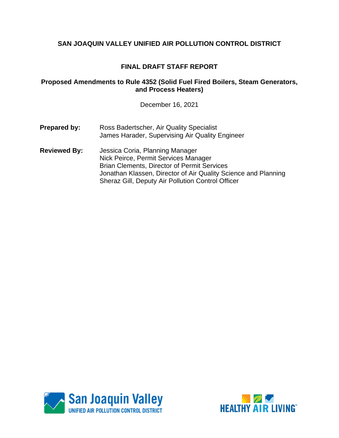### **FINAL DRAFT STAFF REPORT**

#### **Proposed Amendments to Rule 4352 (Solid Fuel Fired Boilers, Steam Generators, and Process Heaters)**

December 16, 2021

- **Prepared by:** Ross Badertscher, Air Quality Specialist James Harader, Supervising Air Quality Engineer
- **Reviewed By:** Jessica Coria, Planning Manager Nick Peirce, Permit Services Manager Brian Clements, Director of Permit Services Jonathan Klassen, Director of Air Quality Science and Planning Sheraz Gill, Deputy Air Pollution Control Officer



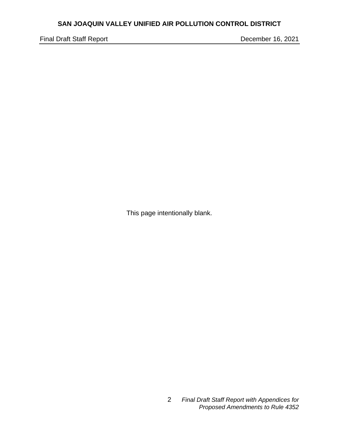Final Draft Staff Report **December 16, 2021** 

This page intentionally blank.

2 *Final Draft Staff Report with Appendices for Proposed Amendments to Rule 4352*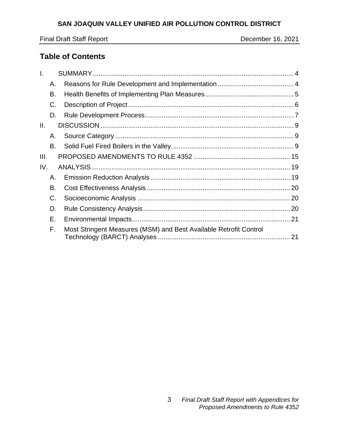Final Draft Staff Report **December 16, 2021** 

## **Table of Contents**

| I.   |    |                                                                   |  |
|------|----|-------------------------------------------------------------------|--|
|      | А. |                                                                   |  |
|      | В. |                                                                   |  |
|      | C. |                                                                   |  |
|      | D. |                                                                   |  |
| Ш.   |    |                                                                   |  |
|      | А. |                                                                   |  |
|      | В. |                                                                   |  |
| III. |    |                                                                   |  |
| IV.  |    |                                                                   |  |
|      | А. |                                                                   |  |
|      | В. |                                                                   |  |
|      | C. |                                                                   |  |
|      | D. |                                                                   |  |
|      | Е. |                                                                   |  |
|      | F. | Most Stringent Measures (MSM) and Best Available Retrofit Control |  |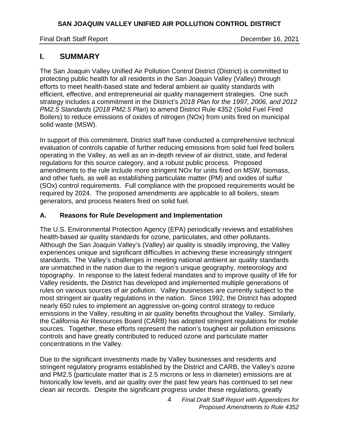# <span id="page-3-0"></span>**I. SUMMARY**

The San Joaquin Valley Unified Air Pollution Control District (District) is committed to protecting public health for all residents in the San Joaquin Valley (Valley) through efforts to meet health-based state and federal ambient air quality standards with efficient, effective, and entrepreneurial air quality management strategies. One such strategy includes a commitment in the District's *2018 Plan for the 1997, 2006, and 2012 PM2.5 Standards* (*2018 PM2.5 Plan*) to amend District Rule 4352 (Solid Fuel Fired Boilers) to reduce emissions of oxides of nitrogen (NOx) from units fired on municipal solid waste (MSW).

In support of this commitment, District staff have conducted a comprehensive technical evaluation of controls capable of further reducing emissions from solid fuel fired boilers operating in the Valley, as well as an in-depth review of air district, state, and federal regulations for this source category, and a robust public process. Proposed amendments to the rule include more stringent NOx for units fired on MSW, biomass, and other fuels, as well as establishing particulate matter (PM) and oxides of sulfur (SOx) control requirements. Full compliance with the proposed requirements would be required by 2024. The proposed amendments are applicable to all boilers, steam generators, and process heaters fired on solid fuel.

### <span id="page-3-1"></span>**A. Reasons for Rule Development and Implementation**

The U.S. Environmental Protection Agency (EPA) periodically reviews and establishes health-based air quality standards for ozone, particulates, and other pollutants. Although the San Joaquin Valley's (Valley) air quality is steadily improving, the Valley experiences unique and significant difficulties in achieving these increasingly stringent standards. The Valley's challenges in meeting national ambient air quality standards are unmatched in the nation due to the region's unique geography, meteorology and topography. In response to the latest federal mandates and to improve quality of life for Valley residents, the District has developed and implemented multiple generations of rules on various sources of air pollution. Valley businesses are currently subject to the most stringent air quality regulations in the nation. Since 1992, the District has adopted nearly 650 rules to implement an aggressive on-going control strategy to reduce emissions in the Valley, resulting in air quality benefits throughout the Valley. Similarly, the California Air Resources Board (CARB) has adopted stringent regulations for mobile sources. Together, these efforts represent the nation's toughest air pollution emissions controls and have greatly contributed to reduced ozone and particulate matter concentrations in the Valley.

Due to the significant investments made by Valley businesses and residents and stringent regulatory programs established by the District and CARB, the Valley's ozone and PM2.5 (particulate matter that is 2.5 microns or less in diameter) emissions are at historically low levels, and air quality over the past few years has continued to set new clean air records. Despite the significant progress under these regulations, greatly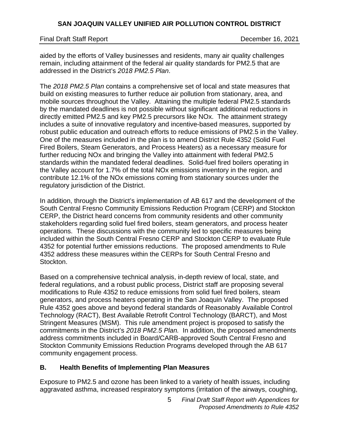Final Draft Staff Report **December 16, 2021** 

aided by the efforts of Valley businesses and residents, many air quality challenges remain, including attainment of the federal air quality standards for PM2.5 that are addressed in the District's *2018 PM2.5 Plan*.

The *2018 PM2.5 Plan* contains a comprehensive set of local and state measures that build on existing measures to further reduce air pollution from stationary, area, and mobile sources throughout the Valley. Attaining the multiple federal PM2.5 standards by the mandated deadlines is not possible without significant additional reductions in directly emitted PM2.5 and key PM2.5 precursors like NOx. The attainment strategy includes a suite of innovative regulatory and incentive-based measures, supported by robust public education and outreach efforts to reduce emissions of PM2.5 in the Valley. One of the measures included in the plan is to amend District Rule 4352 (Solid Fuel Fired Boilers, Steam Generators, and Process Heaters) as a necessary measure for further reducing NOx and bringing the Valley into attainment with federal PM2.5 standards within the mandated federal deadlines. Solid-fuel fired boilers operating in the Valley account for 1.7% of the total NOx emissions inventory in the region, and contribute 12.1% of the NOx emissions coming from stationary sources under the regulatory jurisdiction of the District.

In addition, through the District's implementation of AB 617 and the development of the South Central Fresno Community Emissions Reduction Program (CERP) and Stockton CERP, the District heard concerns from community residents and other community stakeholders regarding solid fuel fired boilers, steam generators, and process heater operations. These discussions with the community led to specific measures being included within the South Central Fresno CERP and Stockton CERP to evaluate Rule 4352 for potential further emissions reductions. The proposed amendments to Rule 4352 address these measures within the CERPs for South Central Fresno and Stockton.

Based on a comprehensive technical analysis, in-depth review of local, state, and federal regulations, and a robust public process, District staff are proposing several modifications to Rule 4352 to reduce emissions from solid fuel fired boilers, steam generators, and process heaters operating in the San Joaquin Valley. The proposed Rule 4352 goes above and beyond federal standards of Reasonably Available Control Technology (RACT), Best Available Retrofit Control Technology (BARCT), and Most Stringent Measures (MSM). This rule amendment project is proposed to satisfy the commitments in the District's *2018 PM2.5 Plan.* In addition, the proposed amendments address commitments included in Board/CARB-approved South Central Fresno and Stockton Community Emissions Reduction Programs developed through the AB 617 community engagement process.

### <span id="page-4-0"></span>**B. Health Benefits of Implementing Plan Measures**

Exposure to PM2.5 and ozone has been linked to a variety of health issues, including aggravated asthma, increased respiratory symptoms (irritation of the airways, coughing,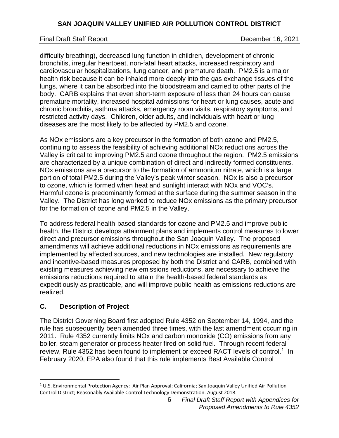### Final Draft Staff Report **December 16, 2021**

difficulty breathing), decreased lung function in children, development of chronic bronchitis, irregular heartbeat, non-fatal heart attacks, increased respiratory and cardiovascular hospitalizations, lung cancer, and premature death. PM2.5 is a major health risk because it can be inhaled more deeply into the gas exchange tissues of the lungs, where it can be absorbed into the bloodstream and carried to other parts of the body. CARB explains that even short-term exposure of less than 24 hours can cause premature mortality, increased hospital admissions for heart or lung causes, acute and chronic bronchitis, asthma attacks, emergency room visits, respiratory symptoms, and restricted activity days. Children, older adults, and individuals with heart or lung diseases are the most likely to be affected by PM2.5 and ozone.

As NOx emissions are a key precursor in the formation of both ozone and PM2.5, continuing to assess the feasibility of achieving additional NOx reductions across the Valley is critical to improving PM2.5 and ozone throughout the region. PM2.5 emissions are characterized by a unique combination of direct and indirectly formed constituents. NOx emissions are a precursor to the formation of ammonium nitrate, which is a large portion of total PM2.5 during the Valley's peak winter season. NOx is also a precursor to ozone, which is formed when heat and sunlight interact with NOx and VOC's. Harmful ozone is predominantly formed at the surface during the summer season in the Valley. The District has long worked to reduce NOx emissions as the primary precursor for the formation of ozone and PM2.5 in the Valley.

To address federal health-based standards for ozone and PM2.5 and improve public health, the District develops attainment plans and implements control measures to lower direct and precursor emissions throughout the San Joaquin Valley. The proposed amendments will achieve additional reductions in NOx emissions as requirements are implemented by affected sources, and new technologies are installed. New regulatory and incentive-based measures proposed by both the District and CARB, combined with existing measures achieving new emissions reductions, are necessary to achieve the emissions reductions required to attain the health-based federal standards as expeditiously as practicable, and will improve public health as emissions reductions are realized.

### <span id="page-5-0"></span>**C. Description of Project**

 $\overline{a}$ 

The District Governing Board first adopted Rule 4352 on September 14, 1994, and the rule has subsequently been amended three times, with the last amendment occurring in 2011. Rule 4352 currently limits NOx and carbon monoxide (CO) emissions from any boiler, steam generator or process heater fired on solid fuel. Through recent federal review, Rule 4352 has been found to implement or exceed RACT levels of control.<sup>[1](#page-5-1)</sup> In February 2020, EPA also found that this rule implements Best Available Control

<span id="page-5-1"></span> $1$  U.S. Environmental Protection Agency: Air Plan Approval; California; San Joaquin Valley Unified Air Pollution Control District; Reasonably Available Control Technology Demonstration. August 2018.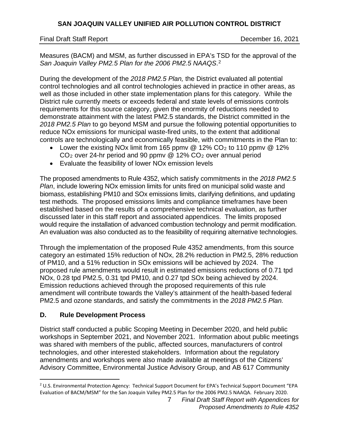Final Draft Staff Report **December 16, 2021** 

Measures (BACM) and MSM, as further discussed in EPA's TSD for the approval of the *San Joaquin Valley PM2.5 Plan for the 2006 PM2.5 NAAQS*. [2](#page-6-1)

During the development of the *2018 PM2.5 Plan,* the District evaluated all potential control technologies and all control technologies achieved in practice in other areas, as well as those included in other state implementation plans for this category. While the District rule currently meets or exceeds federal and state levels of emissions controls requirements for this source category, given the enormity of reductions needed to demonstrate attainment with the latest PM2.5 standards, the District committed in the *2018 PM2.5 Plan* to go beyond MSM and pursue the following potential opportunities to reduce NOx emissions for municipal waste-fired units, to the extent that additional controls are technologically and economically feasible, with commitments in the Plan to:

- Lower the existing NOx limit from 165 ppmv  $\omega$  12% CO<sub>2</sub> to 110 ppmv  $\omega$  12% CO2 over 24-hr period and 90 ppmv @ 12% CO2 over annual period
- Evaluate the feasibility of lower NOx emission levels

The proposed amendments to Rule 4352, which satisfy commitments in the *2018 PM2.5 Plan*, include lowering NOx emission limits for units fired on municipal solid waste and biomass, establishing PM10 and SOx emissions limits, clarifying definitions, and updating test methods. The proposed emissions limits and compliance timeframes have been established based on the results of a comprehensive technical evaluation, as further discussed later in this staff report and associated appendices. The limits proposed would require the installation of advanced combustion technology and permit modification. An evaluation was also conducted as to the feasibility of requiring alternative technologies.

Through the implementation of the proposed Rule 4352 amendments, from this source category an estimated 15% reduction of NOx, 28.2% reduction in PM2.5, 28% reduction of PM10, and a 51% reduction in SOx emissions will be achieved by 2024. The proposed rule amendments would result in estimated emissions reductions of 0.71 tpd NOx, 0.28 tpd PM2.5, 0.31 tpd PM10, and 0.27 tpd SOx being achieved by 2024. Emission reductions achieved through the proposed requirements of this rule amendment will contribute towards the Valley's attainment of the health-based federal PM2.5 and ozone standards, and satisfy the commitments in the *2018 PM2.5 Plan.*

### <span id="page-6-0"></span>**D. Rule Development Process**

 $\overline{a}$ 

District staff conducted a public Scoping Meeting in December 2020, and held public workshops in September 2021, and November 2021. Information about public meetings was shared with members of the public, affected sources, manufacturers of control technologies, and other interested stakeholders. Information about the regulatory amendments and workshops were also made available at meetings of the Citizens' Advisory Committee, Environmental Justice Advisory Group, and AB 617 Community

<span id="page-6-1"></span><sup>2</sup> U.S. Environmental Protection Agency: Technical Support Document for EPA's Technical Support Document "EPA Evaluation of BACM/MSM" for the San Joaquin Valley PM2.5 Plan for the 2006 PM2.5 NAAQA. February 2020.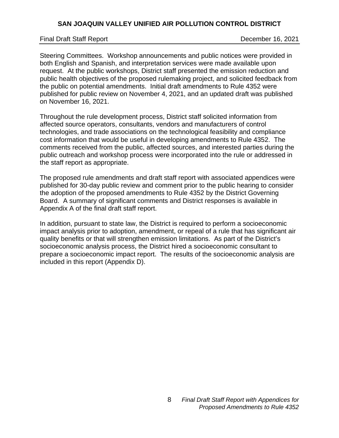#### Final Draft Staff Report **December 16, 2021**

Steering Committees. Workshop announcements and public notices were provided in both English and Spanish, and interpretation services were made available upon request. At the public workshops, District staff presented the emission reduction and public health objectives of the proposed rulemaking project, and solicited feedback from the public on potential amendments. Initial draft amendments to Rule 4352 were published for public review on November 4, 2021, and an updated draft was published on November 16, 2021.

Throughout the rule development process, District staff solicited information from affected source operators, consultants, vendors and manufacturers of control technologies, and trade associations on the technological feasibility and compliance cost information that would be useful in developing amendments to Rule 4352. The comments received from the public, affected sources, and interested parties during the public outreach and workshop process were incorporated into the rule or addressed in the staff report as appropriate.

The proposed rule amendments and draft staff report with associated appendices were published for 30-day public review and comment prior to the public hearing to consider the adoption of the proposed amendments to Rule 4352 by the District Governing Board. A summary of significant comments and District responses is available in Appendix A of the final draft staff report.

In addition, pursuant to state law, the District is required to perform a socioeconomic impact analysis prior to adoption, amendment, or repeal of a rule that has significant air quality benefits or that will strengthen emission limitations. As part of the District's socioeconomic analysis process, the District hired a socioeconomic consultant to prepare a socioeconomic impact report. The results of the socioeconomic analysis are included in this report (Appendix D).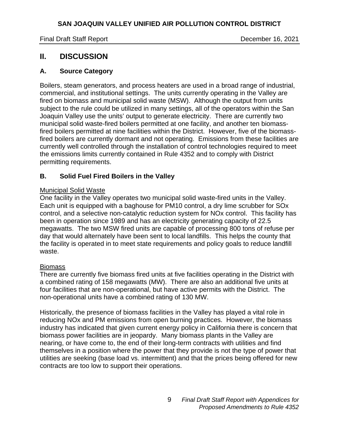Final Draft Staff Report **December 16, 2021** 

## <span id="page-8-0"></span>**II. DISCUSSION**

#### <span id="page-8-1"></span>**A. Source Category**

Boilers, steam generators, and process heaters are used in a broad range of industrial, commercial, and institutional settings. The units currently operating in the Valley are fired on biomass and municipal solid waste (MSW). Although the output from units subject to the rule could be utilized in many settings, all of the operators within the San Joaquin Valley use the units' output to generate electricity. There are currently two municipal solid waste-fired boilers permitted at one facility, and another ten biomassfired boilers permitted at nine facilities within the District. However, five of the biomassfired boilers are currently dormant and not operating. Emissions from these facilities are currently well controlled through the installation of control technologies required to meet the emissions limits currently contained in Rule 4352 and to comply with District permitting requirements.

#### <span id="page-8-2"></span>**B. Solid Fuel Fired Boilers in the Valley**

#### Municipal Solid Waste

One facility in the Valley operates two municipal solid waste-fired units in the Valley. Each unit is equipped with a baghouse for PM10 control, a dry lime scrubber for SOx control, and a selective non-catalytic reduction system for NOx control. This facility has been in operation since 1989 and has an electricity generating capacity of 22.5 megawatts. The two MSW fired units are capable of processing 800 tons of refuse per day that would alternately have been sent to local landfills. This helps the county that the facility is operated in to meet state requirements and policy goals to reduce landfill waste.

#### Biomass

There are currently five biomass fired units at five facilities operating in the District with a combined rating of 158 megawatts (MW). There are also an additional five units at four facilities that are non-operational, but have active permits with the District. The non-operational units have a combined rating of 130 MW.

Historically, the presence of biomass facilities in the Valley has played a vital role in reducing NOx and PM emissions from open burning practices. However, the biomass industry has indicated that given current energy policy in California there is concern that biomass power facilities are in jeopardy. Many biomass plants in the Valley are nearing, or have come to, the end of their long-term contracts with utilities and find themselves in a position where the power that they provide is not the type of power that utilities are seeking (base load vs. intermittent) and that the prices being offered for new contracts are too low to support their operations.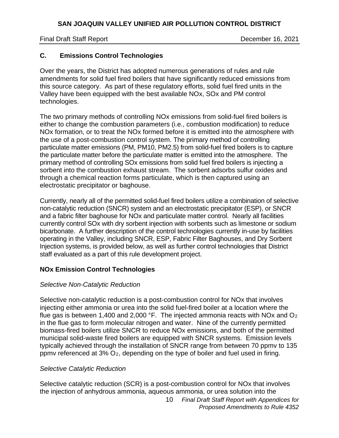### **C. Emissions Control Technologies**

Over the years, the District has adopted numerous generations of rules and rule amendments for solid fuel fired boilers that have significantly reduced emissions from this source category. As part of these regulatory efforts, solid fuel fired units in the Valley have been equipped with the best available NOx, SOx and PM control technologies.

The two primary methods of controlling NOx emissions from solid-fuel fired boilers is either to change the combustion parameters (i.e., combustion modification) to reduce NOx formation, or to treat the NOx formed before it is emitted into the atmosphere with the use of a post-combustion control system. The primary method of controlling particulate matter emissions (PM, PM10, PM2.5) from solid-fuel fired boilers is to capture the particulate matter before the particulate matter is emitted into the atmosphere. The primary method of controlling SOx emissions from solid fuel fired boilers is injecting a sorbent into the combustion exhaust stream. The sorbent adsorbs sulfur oxides and through a chemical reaction forms particulate, which is then captured using an electrostatic precipitator or baghouse.

Currently, nearly all of the permitted solid-fuel fired boilers utilize a combination of selective non-catalytic reduction (SNCR) system and an electrostatic precipitator (ESP), or SNCR and a fabric filter baghouse for NOx and particulate matter control. Nearly all facilities currently control SOx with dry sorbent injection with sorbents such as limestone or sodium bicarbonate. A further description of the control technologies currently in-use by facilities operating in the Valley, including SNCR, ESP, Fabric Filter Baghouses, and Dry Sorbent Injection systems, is provided below, as well as further control technologies that District staff evaluated as a part of this rule development project.

### **NOx Emission Control Technologies**

### *Selective Non-Catalytic Reduction*

Selective non-catalytic reduction is a post-combustion control for NOx that involves injecting either ammonia or urea into the solid fuel-fired boiler at a location where the flue gas is between 1,400 and 2,000 °F. The injected ammonia reacts with NOx and  $O<sub>2</sub>$ in the flue gas to form molecular nitrogen and water. Nine of the currently permitted biomass-fired boilers utilize SNCR to reduce NOx emissions, and both of the permitted municipal solid-waste fired boilers are equipped with SNCR systems. Emission levels typically achieved through the installation of SNCR range from between 70 ppmv to 135 ppmy referenced at  $3\%$   $O_2$ , depending on the type of boiler and fuel used in firing.

### *Selective Catalytic Reduction*

Selective catalytic reduction (SCR) is a post-combustion control for NOx that involves the injection of anhydrous ammonia, aqueous ammonia, or urea solution into the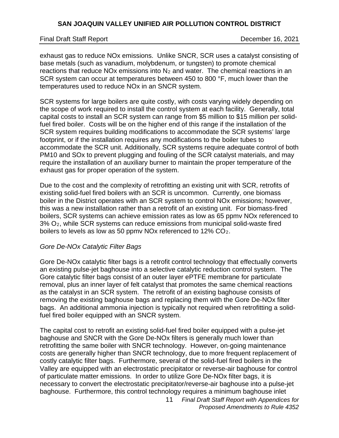#### Final Draft Staff Report **December 16, 2021**

exhaust gas to reduce NOx emissions. Unlike SNCR, SCR uses a catalyst consisting of base metals (such as vanadium, molybdenum, or tungsten) to promote chemical reactions that reduce NOx emissions into  $N_2$  and water. The chemical reactions in an SCR system can occur at temperatures between 450 to 800 °F, much lower than the temperatures used to reduce NOx in an SNCR system.

SCR systems for large boilers are quite costly, with costs varying widely depending on the scope of work required to install the control system at each facility. Generally, total capital costs to install an SCR system can range from \$5 million to \$15 million per solidfuel fired boiler. Costs will be on the higher end of this range if the installation of the SCR system requires building modifications to accommodate the SCR systems' large footprint, or if the installation requires any modifications to the boiler tubes to accommodate the SCR unit. Additionally, SCR systems require adequate control of both PM10 and SOx to prevent plugging and fouling of the SCR catalyst materials, and may require the installation of an auxiliary burner to maintain the proper temperature of the exhaust gas for proper operation of the system.

Due to the cost and the complexity of retrofitting an existing unit with SCR, retrofits of existing solid-fuel fired boilers with an SCR is uncommon. Currently, one biomass boiler in the District operates with an SCR system to control NOx emissions; however, this was a new installation rather than a retrofit of an existing unit. For biomass-fired boilers, SCR systems can achieve emission rates as low as 65 ppmv NOx referenced to 3% O2, while SCR systems can reduce emissions from municipal solid-waste fired boilers to levels as low as 50 ppmv NOx referenced to 12% CO2.

### *Gore De-NOx Catalytic Filter Bags*

Gore De-NOx catalytic filter bags is a retrofit control technology that effectually converts an existing pulse-jet baghouse into a selective catalytic reduction control system. The Gore catalytic filter bags consist of an outer layer ePTFE membrane for particulate removal, plus an inner layer of felt catalyst that promotes the same chemical reactions as the catalyst in an SCR system. The retrofit of an existing baghouse consists of removing the existing baghouse bags and replacing them with the Gore De-NOx filter bags. An additional ammonia injection is typically not required when retrofitting a solidfuel fired boiler equipped with an SNCR system.

The capital cost to retrofit an existing solid-fuel fired boiler equipped with a pulse-jet baghouse and SNCR with the Gore De-NOx filters is generally much lower than retrofitting the same boiler with SNCR technology. However, on-going maintenance costs are generally higher than SNCR technology, due to more frequent replacement of costly catalytic filter bags. Furthermore, several of the solid-fuel fired boilers in the Valley are equipped with an electrostatic precipitator or reverse-air baghouse for control of particulate matter emissions. In order to utilize Gore De-NOx filter bags, it is necessary to convert the electrostatic precipitator/reverse-air baghouse into a pulse-jet baghouse. Furthermore, this control technology requires a minimum baghouse inlet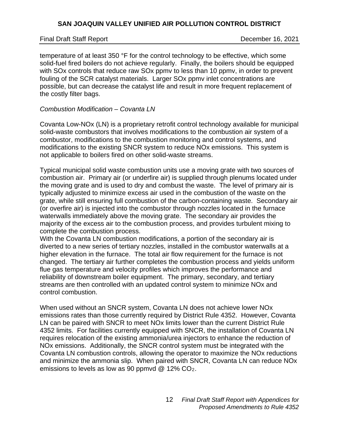#### Final Draft Staff Report **December 16, 2021**

temperature of at least 350 °F for the control technology to be effective, which some solid-fuel fired boilers do not achieve regularly. Finally, the boilers should be equipped with SOx controls that reduce raw SOx ppmv to less than 10 ppmv, in order to prevent fouling of the SCR catalyst materials. Larger SOx ppmv inlet concentrations are possible, but can decrease the catalyst life and result in more frequent replacement of the costly filter bags.

#### *Combustion Modification – Covanta LN*

Covanta Low-NOx (LN) is a proprietary retrofit control technology available for municipal solid-waste combustors that involves modifications to the combustion air system of a combustor, modifications to the combustion monitoring and control systems, and modifications to the existing SNCR system to reduce NOx emissions. This system is not applicable to boilers fired on other solid-waste streams.

Typical municipal solid waste combustion units use a moving grate with two sources of combustion air. Primary air (or underfire air) is supplied through plenums located under the moving grate and is used to dry and combust the waste. The level of primary air is typically adjusted to minimize excess air used in the combustion of the waste on the grate, while still ensuring full combustion of the carbon-containing waste. Secondary air (or overfire air) is injected into the combustor through nozzles located in the furnace waterwalls immediately above the moving grate. The secondary air provides the majority of the excess air to the combustion process, and provides turbulent mixing to complete the combustion process.

With the Covanta LN combustion modifications, a portion of the secondary air is diverted to a new series of tertiary nozzles, installed in the combustor waterwalls at a higher elevation in the furnace. The total air flow requirement for the furnace is not changed. The tertiary air further completes the combustion process and yields uniform flue gas temperature and velocity profiles which improves the performance and reliability of downstream boiler equipment. The primary, secondary, and tertiary streams are then controlled with an updated control system to minimize NOx and control combustion.

When used without an SNCR system, Covanta LN does not achieve lower NOx emissions rates than those currently required by District Rule 4352. However, Covanta LN can be paired with SNCR to meet NOx limits lower than the current District Rule 4352 limits. For facilities currently equipped with SNCR, the installation of Covanta LN requires relocation of the existing ammonia/urea injectors to enhance the reduction of NOx emissions. Additionally, the SNCR control system must be integrated with the Covanta LN combustion controls, allowing the operator to maximize the NOx reductions and minimize the ammonia slip. When paired with SNCR, Covanta LN can reduce NOx emissions to levels as low as 90 ppmvd  $@$  12%  $CO<sub>2</sub>$ .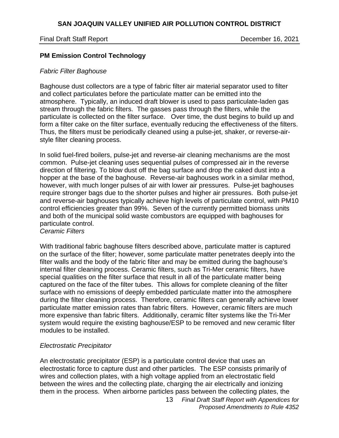### **PM Emission Control Technology**

#### *Fabric Filter Baghouse*

Baghouse dust collectors are a type of fabric filter air material separator used to filter and collect particulates before the particulate matter can be emitted into the atmosphere. Typically, an induced draft blower is used to pass particulate-laden gas stream through the fabric filters. The gasses pass through the filters, while the particulate is collected on the filter surface. Over time, the dust begins to build up and form a filter cake on the filter surface, eventually reducing the effectiveness of the filters. Thus, the filters must be periodically cleaned using a pulse-jet, shaker, or reverse-airstyle filter cleaning process.

In solid fuel-fired boilers, pulse-jet and reverse-air cleaning mechanisms are the most common. Pulse-jet cleaning uses sequential pulses of compressed air in the reverse direction of filtering. To blow dust off the bag surface and drop the caked dust into a hopper at the base of the baghouse. Reverse-air baghouses work in a similar method, however, with much longer pulses of air with lower air pressures. Pulse-jet baghouses require stronger bags due to the shorter pulses and higher air pressures. Both pulse-jet and reverse-air baghouses typically achieve high levels of particulate control, with PM10 control efficiencies greater than 99%. Seven of the currently permitted biomass units and both of the municipal solid waste combustors are equipped with baghouses for particulate control.

#### *Ceramic Filters*

With traditional fabric baghouse filters described above, particulate matter is captured on the surface of the filter; however, some particulate matter penetrates deeply into the filter walls and the body of the fabric filter and may be emitted during the baghouse's internal filter cleaning process. Ceramic filters, such as Tri-Mer ceramic filters, have special qualities on the filter surface that result in all of the particulate matter being captured on the face of the filter tubes. This allows for complete cleaning of the filter surface with no emissions of deeply embedded particulate matter into the atmosphere during the filter cleaning process. Therefore, ceramic filters can generally achieve lower particulate matter emission rates than fabric filters. However, ceramic filters are much more expensive than fabric filters. Additionally, ceramic filter systems like the Tri-Mer system would require the existing baghouse/ESP to be removed and new ceramic filter modules to be installed.

### *Electrostatic Precipitator*

An electrostatic precipitator (ESP) is a particulate control device that uses an electrostatic force to capture dust and other particles. The ESP consists primarily of wires and collection plates, with a high voltage applied from an electrostatic field between the wires and the collecting plate, charging the air electrically and ionizing them in the process. When airborne particles pass between the collecting plates, the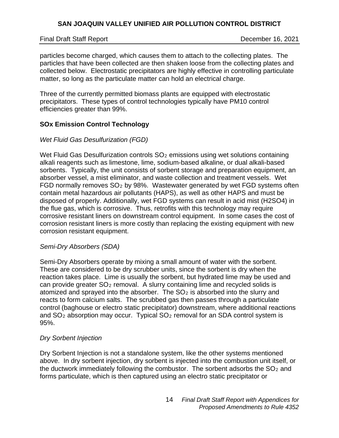Final Draft Staff Report **December 16, 2021** 

particles become charged, which causes them to attach to the collecting plates. The particles that have been collected are then shaken loose from the collecting plates and collected below. Electrostatic precipitators are highly effective in controlling particulate matter, so long as the particulate matter can hold an electrical charge.

Three of the currently permitted biomass plants are equipped with electrostatic precipitators. These types of control technologies typically have PM10 control efficiencies greater than 99%.

### **SOx Emission Control Technology**

### *Wet Fluid Gas Desulfurization (FGD)*

Wet Fluid Gas Desulfurization controls SO<sub>2</sub> emissions using wet solutions containing alkali reagents such as limestone, lime, sodium-based alkaline, or dual alkali-based sorbents. Typically, the unit consists of sorbent storage and preparation equipment, an absorber vessel, a mist eliminator, and waste collection and treatment vessels. Wet FGD normally removes SO2 by 98%. Wastewater generated by wet FGD systems often contain metal hazardous air pollutants (HAPS), as well as other HAPS and must be disposed of properly. Additionally, wet FGD systems can result in acid mist (H2SO4) in the flue gas, which is corrosive. Thus, retrofits with this technology may require corrosive resistant liners on downstream control equipment. In some cases the cost of corrosion resistant liners is more costly than replacing the existing equipment with new corrosion resistant equipment.

#### *Semi-Dry Absorbers (SDA)*

Semi-Dry Absorbers operate by mixing a small amount of water with the sorbent. These are considered to be dry scrubber units, since the sorbent is dry when the reaction takes place. Lime is usually the sorbent, but hydrated lime may be used and can provide greater  $SO<sub>2</sub>$  removal. A slurry containing lime and recycled solids is atomized and sprayed into the absorber. The  $SO<sub>2</sub>$  is absorbed into the slurry and reacts to form calcium salts. The scrubbed gas then passes through a particulate control (baghouse or electro static precipitator) downstream, where additional reactions and  $SO<sub>2</sub>$  absorption may occur. Typical  $SO<sub>2</sub>$  removal for an SDA control system is 95%.

#### *Dry Sorbent Injection*

Dry Sorbent Injection is not a standalone system, like the other systems mentioned above. In dry sorbent injection, dry sorbent is injected into the combustion unit itself, or the ductwork immediately following the combustor. The sorbent adsorbs the  $SO<sub>2</sub>$  and forms particulate, which is then captured using an electro static precipitator or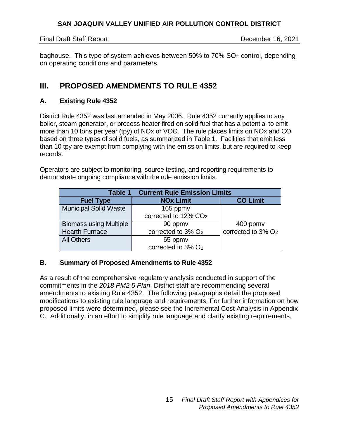Final Draft Staff Report **December 16, 2021** 

baghouse. This type of system achieves between  $50\%$  to  $70\%$  SO<sub>2</sub> control, depending on operating conditions and parameters.

# <span id="page-14-0"></span>**III. PROPOSED AMENDMENTS TO RULE 4352**

#### **A. Existing Rule 4352**

District Rule 4352 was last amended in May 2006. Rule 4352 currently applies to any boiler, steam generator, or process heater fired on solid fuel that has a potential to emit more than 10 tons per year (tpy) of NOx or VOC. The rule places limits on NOx and CO based on three types of solid fuels, as summarized in Table 1. Facilities that emit less than 10 tpy are exempt from complying with the emission limits, but are required to keep records.

Operators are subject to monitoring, source testing, and reporting requirements to demonstrate ongoing compliance with the rule emission limits.

|                               | <b>Table 1 Current Rule Emission Limits</b> |                                |  |
|-------------------------------|---------------------------------------------|--------------------------------|--|
| <b>Fuel Type</b>              | <b>NOx Limit</b>                            | <b>CO Limit</b>                |  |
| <b>Municipal Solid Waste</b>  | 165 ppmv                                    |                                |  |
|                               | corrected to 12% CO <sub>2</sub>            |                                |  |
| <b>Biomass using Multiple</b> | 90 ppmv                                     | 400 ppmv                       |  |
| <b>Hearth Furnace</b>         | corrected to 3% O <sub>2</sub>              | corrected to 3% O <sub>2</sub> |  |
| <b>All Others</b>             | 65 ppmv                                     |                                |  |
|                               | corrected to 3% O <sub>2</sub>              |                                |  |

### **B. Summary of Proposed Amendments to Rule 4352**

As a result of the comprehensive regulatory analysis conducted in support of the commitments in the *2018 PM2.5 Plan*, District staff are recommending several amendments to existing Rule 4352. The following paragraphs detail the proposed modifications to existing rule language and requirements. For further information on how proposed limits were determined, please see the Incremental Cost Analysis in Appendix C. Additionally, in an effort to simplify rule language and clarify existing requirements,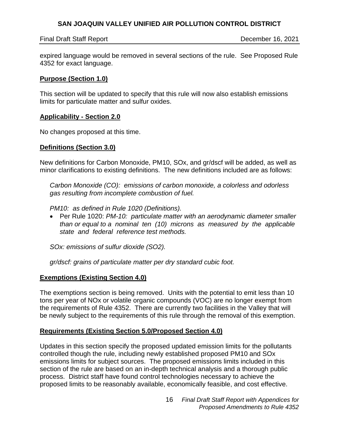#### Final Draft Staff Report **December 16, 2021**

expired language would be removed in several sections of the rule. See Proposed Rule 4352 for exact language.

#### **Purpose (Section 1.0)**

This section will be updated to specify that this rule will now also establish emissions limits for particulate matter and sulfur oxides.

#### **Applicability - Section 2.0**

No changes proposed at this time.

#### **Definitions (Section 3.0)**

New definitions for Carbon Monoxide, PM10, SOx, and gr/dscf will be added, as well as minor clarifications to existing definitions. The new definitions included are as follows:

*Carbon Monoxide (CO): emissions of carbon monoxide, a colorless and odorless gas resulting from incomplete combustion of fuel.* 

*PM10: as defined in Rule 1020 (Definitions).*

• Per Rule 1020: *PM-10: particulate matter with an aerodynamic diameter smaller than or equal to a nominal ten (10) microns as measured by the applicable state and federal reference test methods.*

*SOx: emissions of sulfur dioxide (SO2).*

*gr/dscf: grains of particulate matter per dry standard cubic foot.*

#### **Exemptions (Existing Section 4.0)**

The exemptions section is being removed. Units with the potential to emit less than 10 tons per year of NOx or volatile organic compounds (VOC) are no longer exempt from the requirements of Rule 4352. There are currently two facilities in the Valley that will be newly subject to the requirements of this rule through the removal of this exemption.

### **Requirements (Existing Section 5.0/Proposed Section 4.0)**

Updates in this section specify the proposed updated emission limits for the pollutants controlled though the rule, including newly established proposed PM10 and SOx emissions limits for subject sources. The proposed emissions limits included in this section of the rule are based on an in-depth technical analysis and a thorough public process. District staff have found control technologies necessary to achieve the proposed limits to be reasonably available, economically feasible, and cost effective.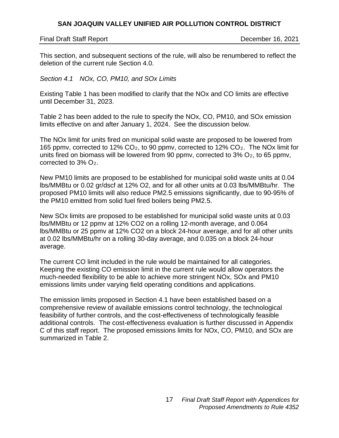#### Final Draft Staff Report **December 16, 2021**

This section, and subsequent sections of the rule, will also be renumbered to reflect the deletion of the current rule Section 4.0.

#### *Section 4.1 NOx, CO, PM10, and SOx Limits*

Existing Table 1 has been modified to clarify that the NOx and CO limits are effective until December 31, 2023.

Table 2 has been added to the rule to specify the NOx, CO, PM10, and SOx emission limits effective on and after January 1, 2024. See the discussion below.

The NOx limit for units fired on municipal solid waste are proposed to be lowered from 165 ppmv, corrected to 12% CO2, to 90 ppmv, corrected to 12% CO2. The NOx limit for units fired on biomass will be lowered from 90 ppmv, corrected to  $3\%$  O<sub>2</sub>, to 65 ppmv, corrected to 3% O2.

New PM10 limits are proposed to be established for municipal solid waste units at 0.04 lbs/MMBtu or 0.02 gr/dscf at 12% O2, and for all other units at 0.03 lbs/MMBtu/hr. The proposed PM10 limits will also reduce PM2.5 emissions significantly, due to 90-95% of the PM10 emitted from solid fuel fired boilers being PM2.5.

New SOx limits are proposed to be established for municipal solid waste units at 0.03 lbs/MMBtu or 12 ppmv at 12% CO2 on a rolling 12-month average, and 0.064 lbs/MMBtu or 25 ppmv at 12% CO2 on a block 24-hour average, and for all other units at 0.02 lbs/MMBtu/hr on a rolling 30-day average, and 0.035 on a block 24-hour average.

The current CO limit included in the rule would be maintained for all categories. Keeping the existing CO emission limit in the current rule would allow operators the much-needed flexibility to be able to achieve more stringent NOx, SOx and PM10 emissions limits under varying field operating conditions and applications.

The emission limits proposed in Section 4.1 have been established based on a comprehensive review of available emissions control technology, the technological feasibility of further controls, and the cost-effectiveness of technologically feasible additional controls. The cost-effectiveness evaluation is further discussed in Appendix C of this staff report. The proposed emissions limits for NOx, CO, PM10, and SOx are summarized in Table 2.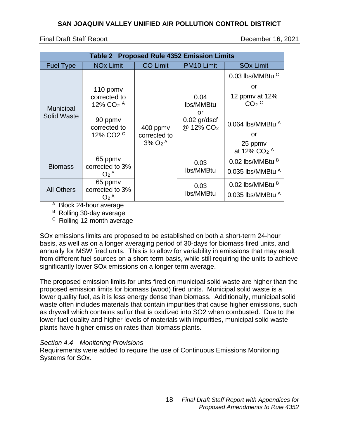Final Draft Staff Report **December 16, 2021** 

| <b>Table 2 Proposed Rule 4352 Emission Limits</b> |                                                  |                                   |                                               |                                                     |  |  |  |  |  |  |
|---------------------------------------------------|--------------------------------------------------|-----------------------------------|-----------------------------------------------|-----------------------------------------------------|--|--|--|--|--|--|
| <b>Fuel Type</b>                                  | <b>NO<sub>x</sub></b> Limit                      | <b>CO Limit</b>                   | <b>PM10 Limit</b>                             | <b>SOx Limit</b>                                    |  |  |  |  |  |  |
|                                                   |                                                  |                                   |                                               | 0.03 lbs/MMBtu <sup>C</sup>                         |  |  |  |  |  |  |
|                                                   | 110 ppmv                                         |                                   |                                               | or                                                  |  |  |  |  |  |  |
| Municipal                                         | corrected to<br>12% CO <sub>2</sub> A            |                                   | 0.04<br>lbs/MMBtu                             | 12 ppmv at 12%<br>$CO2$ $C$                         |  |  |  |  |  |  |
| <b>Solid Waste</b>                                | 90 ppmv<br>corrected to<br>12% CO <sub>2</sub> c | 400 ppmv<br>corrected to          | or<br>$0.02$ gr/dscf<br>@ 12% CO <sub>2</sub> | 0.064 lbs/MMBtu A<br>or                             |  |  |  |  |  |  |
|                                                   |                                                  | $3\%$ O <sub>2</sub> <sup>A</sup> |                                               | 25 ppmv<br>at 12% $CO2$ A                           |  |  |  |  |  |  |
|                                                   | 65 ppmv                                          |                                   | 0.03                                          | 0.02 lbs/MMBtu $B$                                  |  |  |  |  |  |  |
| <b>Biomass</b>                                    | corrected to 3%<br>$O2$ A                        |                                   | lbs/MMBtu                                     | 0.035 lbs/MMBtu $^{\text{A}}$                       |  |  |  |  |  |  |
| <b>All Others</b>                                 | 65 ppmv<br>corrected to 3%<br>$O2$ A             |                                   | 0.03<br>lbs/MMBtu                             | 0.02 lbs/MMBtu B<br>0.035 lbs/MMBtu $^{\mathsf{A}}$ |  |  |  |  |  |  |

A Block 24-hour average

B Rolling 30-day average

C Rolling 12-month average

SOx emissions limits are proposed to be established on both a short-term 24-hour basis, as well as on a longer averaging period of 30-days for biomass fired units, and annually for MSW fired units. This is to allow for variability in emissions that may result from different fuel sources on a short-term basis, while still requiring the units to achieve significantly lower SOx emissions on a longer term average.

The proposed emission limits for units fired on municipal solid waste are higher than the proposed emission limits for biomass (wood) fired units. Municipal solid waste is a lower quality fuel, as it is less energy dense than biomass. Additionally, municipal solid waste often includes materials that contain impurities that cause higher emissions, such as drywall which contains sulfur that is oxidized into SO2 when combusted. Due to the lower fuel quality and higher levels of materials with impurities, municipal solid waste plants have higher emission rates than biomass plants.

#### *Section 4.4 Monitoring Provisions*

Requirements were added to require the use of Continuous Emissions Monitoring Systems for SOx.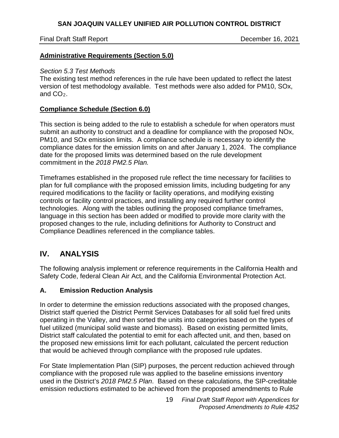### **Administrative Requirements (Section 5.0)**

#### *Section 5.3 Test Methods*

The existing test method references in the rule have been updated to reflect the latest version of test methodology available. Test methods were also added for PM10, SOx, and CO2.

### **Compliance Schedule (Section 6.0)**

This section is being added to the rule to establish a schedule for when operators must submit an authority to construct and a deadline for compliance with the proposed NOx, PM10, and SOx emission limits. A compliance schedule is necessary to identify the compliance dates for the emission limits on and after January 1, 2024. The compliance date for the proposed limits was determined based on the rule development commitment in the *2018 PM2.5 Plan.*

Timeframes established in the proposed rule reflect the time necessary for facilities to plan for full compliance with the proposed emission limits, including budgeting for any required modifications to the facility or facility operations, and modifying existing controls or facility control practices, and installing any required further control technologies. Along with the tables outlining the proposed compliance timeframes, language in this section has been added or modified to provide more clarity with the proposed changes to the rule, including definitions for Authority to Construct and Compliance Deadlines referenced in the compliance tables.

# <span id="page-18-0"></span>**IV. ANALYSIS**

The following analysis implement or reference requirements in the California Health and Safety Code, federal Clean Air Act, and the California Environmental Protection Act.

### <span id="page-18-1"></span>**A. Emission Reduction Analysis**

In order to determine the emission reductions associated with the proposed changes, District staff queried the District Permit Services Databases for all solid fuel fired units operating in the Valley, and then sorted the units into categories based on the types of fuel utilized (municipal solid waste and biomass). Based on existing permitted limits, District staff calculated the potential to emit for each affected unit, and then, based on the proposed new emissions limit for each pollutant, calculated the percent reduction that would be achieved through compliance with the proposed rule updates.

For State Implementation Plan (SIP) purposes, the percent reduction achieved through compliance with the proposed rule was applied to the baseline emissions inventory used in the District's *2018 PM2.5 Plan*. Based on these calculations, the SIP-creditable emission reductions estimated to be achieved from the proposed amendments to Rule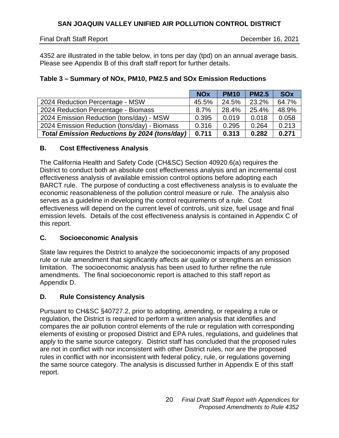Final Draft Staff Report **December 16, 2021** 

4352 are illustrated in the table below, in tons per day (tpd) on an annual average basis. Please see Appendix B of this draft staff report for further details.

### **Table 3 – Summary of NOx, PM10, PM2.5 and SOx Emission Reductions**

|                                              | <b>NOx</b> | <b>PM10</b> | <b>PM2.5</b> | <b>SO<sub>x</sub></b> |
|----------------------------------------------|------------|-------------|--------------|-----------------------|
| 2024 Reduction Percentage - MSW              |            | 24.5%       | 23.2%        | 64.7%                 |
| 2024 Reduction Percentage - Biomass          | 8.7%       | 28.4%       | 25.4%        | 48.9%                 |
| 2024 Emission Reduction (tons/day) - MSW     | 0.395      | 0.019       | 0.018        | 0.058                 |
| 2024 Emission Reduction (tons/day) - Biomass | 0.316      | 0.295       | 0.264        | 0.213                 |
| Total Emission Reductions by 2024 (tons/day) | 0.711      | 0.313       | 0.282        | 0.271                 |

### <span id="page-19-0"></span>**B. Cost Effectiveness Analysis**

The California Health and Safety Code (CH&SC) Section 40920.6(a) requires the District to conduct both an absolute cost effectiveness analysis and an incremental cost effectiveness analysis of available emission control options before adopting each BARCT rule. The purpose of conducting a cost effectiveness analysis is to evaluate the economic reasonableness of the pollution control measure or rule. The analysis also serves as a guideline in developing the control requirements of a rule. Cost effectiveness will depend on the current level of controls, unit size, fuel usage and final emission levels. Details of the cost effectiveness analysis is contained in Appendix C of this report.

### <span id="page-19-1"></span>**C. Socioeconomic Analysis**

State law requires the District to analyze the socioeconomic impacts of any proposed rule or rule amendment that significantly affects air quality or strengthens an emission limitation. The socioeconomic analysis has been used to further refine the rule amendments. The final socioeconomic report is attached to this staff report as Appendix D.

### <span id="page-19-2"></span>**D. Rule Consistency Analysis**

Pursuant to CH&SC §40727.2, prior to adopting, amending, or repealing a rule or regulation, the District is required to perform a written analysis that identifies and compares the air pollution control elements of the rule or regulation with corresponding elements of existing or proposed District and EPA rules, regulations, and guidelines that apply to the same source category. District staff has concluded that the proposed rules are not in conflict with nor inconsistent with other District rules, nor are the proposed rules in conflict with nor inconsistent with federal policy, rule, or regulations governing the same source category. The analysis is discussed further in Appendix E of this staff report.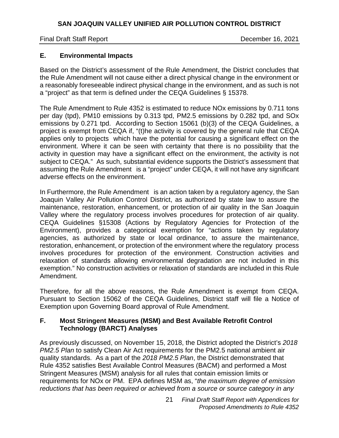#### <span id="page-20-0"></span>**E. Environmental Impacts**

Based on the District's assessment of the Rule Amendment, the District concludes that the Rule Amendment will not cause either a direct physical change in the environment or a reasonably foreseeable indirect physical change in the environment, and as such is not a "project" as that term is defined under the CEQA Guidelines § 15378.

The Rule Amendment to Rule 4352 is estimated to reduce NOx emissions by 0.711 tons per day (tpd), PM10 emissions by 0.313 tpd, PM2.5 emissions by 0.282 tpd, and SOx emissions by 0.271 tpd. According to Section 15061 (b)(3) of the CEQA Guidelines, a project is exempt from CEQA if, "(t)he activity is covered by the general rule that CEQA applies only to projects which have the potential for causing a significant effect on the environment. Where it can be seen with certainty that there is no possibility that the activity in question may have a significant effect on the environment, the activity is not subject to CEQA." As such, substantial evidence supports the District's assessment that assuming the Rule Amendment is a "project" under CEQA, it will not have any significant adverse effects on the environment.

In Furthermore, the Rule Amendment is an action taken by a regulatory agency, the San Joaquin Valley Air Pollution Control District, as authorized by state law to assure the maintenance, restoration, enhancement, or protection of air quality in the San Joaquin Valley where the regulatory process involves procedures for protection of air quality. CEQA Guidelines §15308 (Actions by Regulatory Agencies for Protection of the Environment), provides a categorical exemption for "actions taken by regulatory agencies, as authorized by state or local ordinance, to assure the maintenance, restoration, enhancement, or protection of the environment where the regulatory process involves procedures for protection of the environment. Construction activities and relaxation of standards allowing environmental degradation are not included in this exemption." No construction activities or relaxation of standards are included in this Rule Amendment.

Therefore, for all the above reasons, the Rule Amendment is exempt from CEQA. Pursuant to Section 15062 of the CEQA Guidelines, District staff will file a Notice of Exemption upon Governing Board approval of Rule Amendment.

#### <span id="page-20-1"></span>**F. Most Stringent Measures (MSM) and Best Available Retrofit Control Technology (BARCT) Analyses**

As previously discussed, on November 15, 2018, the District adopted the District's *2018 PM2.5 Plan* to satisfy Clean Air Act requirements for the PM2.5 national ambient air quality standards. As a part of the *2018 PM2.5 Plan*, the District demonstrated that Rule 4352 satisfies Best Available Control Measures (BACM) and performed a Most Stringent Measures (MSM) analysis for all rules that contain emission limits or requirements for NOx or PM. EPA defines MSM as, "*the maximum degree of emission reductions that has been required or achieved from a source or source category in any*